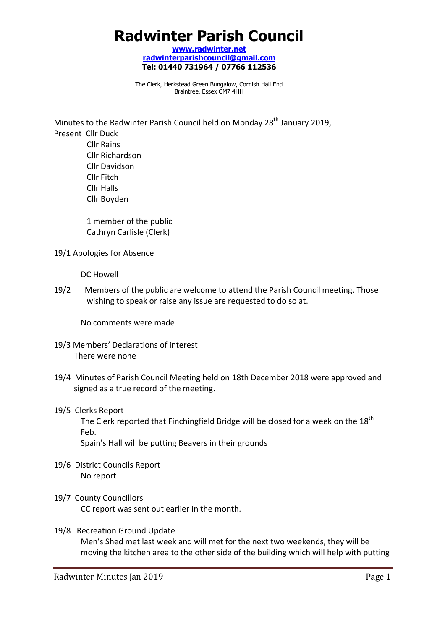# **Radwinter Parish Council**

**www.radwinter.net radwinterparishcouncil@gmail.com Tel: 01440 731964 / 07766 112536** 

The Clerk, Herkstead Green Bungalow, Cornish Hall End Braintree, Essex CM7 4HH

Minutes to the Radwinter Parish Council held on Monday 28<sup>th</sup> January 2019, Present Cllr Duck Cllr Rains Cllr Richardson Cllr Davidson Cllr Fitch Cllr Halls Cllr Boyden

> 1 member of the public Cathryn Carlisle (Clerk)

19/1 Apologies for Absence

DC Howell

19/2 Members of the public are welcome to attend the Parish Council meeting. Those wishing to speak or raise any issue are requested to do so at.

No comments were made

- 19/3 Members' Declarations of interest There were none
- 19/4 Minutes of Parish Council Meeting held on 18th December 2018 were approved and signed as a true record of the meeting.

#### 19/5 Clerks Report

The Clerk reported that Finchingfield Bridge will be closed for a week on the  $18<sup>th</sup>$ Feb.

Spain's Hall will be putting Beavers in their grounds

- 19/6 District Councils Report No report
- 19/7 County Councillors

CC report was sent out earlier in the month.

19/8 Recreation Ground Update Men's Shed met last week and will met for the next two weekends, they will be moving the kitchen area to the other side of the building which will help with putting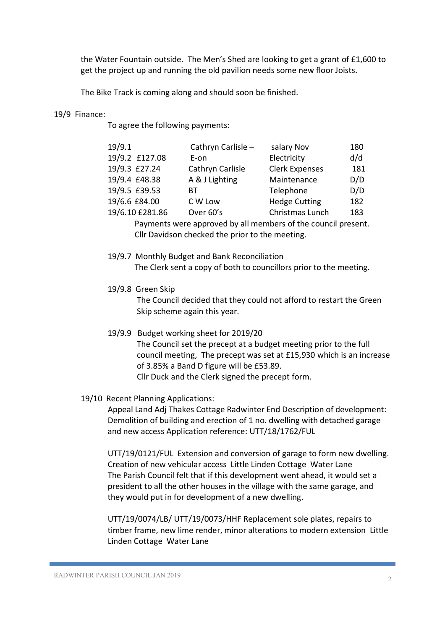the Water Fountain outside. The Men's Shed are looking to get a grant of £1,600 to get the project up and running the old pavilion needs some new floor Joists.

The Bike Track is coming along and should soon be finished.

#### 19/9 Finance:

To agree the following payments:

| 19/9.1          | Cathryn Carlisle - | salary Nov            | 180 |
|-----------------|--------------------|-----------------------|-----|
| 19/9.2 £127.08  | E-on               | Electricity           | d/d |
| 19/9.3 £27.24   | Cathryn Carlisle   | <b>Clerk Expenses</b> | 181 |
| 19/9.4 £48.38   | A & J Lighting     | Maintenance           | D/D |
| 19/9.5 £39.53   | BТ                 | Telephone             | D/D |
| 19/6.6 £84.00   | C W Low            | <b>Hedge Cutting</b>  | 182 |
| 19/6.10 £281.86 | Over 60's          | Christmas Lunch       | 183 |
|                 |                    |                       |     |

 Payments were approved by all members of the council present. Cllr Davidson checked the prior to the meeting.

- 19/9.7 Monthly Budget and Bank Reconciliation The Clerk sent a copy of both to councillors prior to the meeting.
- 19/9.8 Green Skip

The Council decided that they could not afford to restart the Green Skip scheme again this year.

- 19/9.9 Budget working sheet for 2019/20 The Council set the precept at a budget meeting prior to the full council meeting, The precept was set at £15,930 which is an increase of 3.85% a Band D figure will be £53.89. Cllr Duck and the Clerk signed the precept form.
- 19/10 Recent Planning Applications:

Appeal Land Adj Thakes Cottage Radwinter End Description of development: Demolition of building and erection of 1 no. dwelling with detached garage and new access Application reference: UTT/18/1762/FUL

UTT/19/0121/FUL Extension and conversion of garage to form new dwelling. Creation of new vehicular access Little Linden Cottage Water Lane The Parish Council felt that if this development went ahead, it would set a president to all the other houses in the village with the same garage, and they would put in for development of a new dwelling.

UTT/19/0074/LB/ UTT/19/0073/HHF Replacement sole plates, repairs to timber frame, new lime render, minor alterations to modern extension Little Linden Cottage Water Lane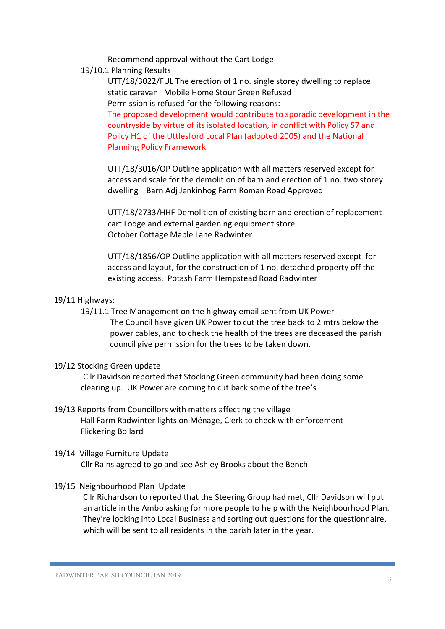Recommend approval without the Cart Lodge

19/10.1 Planning Results

UTT/18/3022/FUL The erection of 1 no. single storey dwelling to replace static caravan Mobile Home Stour Green Refused Permission is refused for the following reasons:

The proposed development would contribute to sporadic development in the countryside by virtue of its isolated location, in conflict with Policy S7 and Policy H1 of the Uttlesford Local Plan (adopted 2005) and the National Planning Policy Framework.

UTT/18/3016/OP Outline application with all matters reserved except for access and scale for the demolition of barn and erection of 1 no. two storey dwelling Barn Adj Jenkinhog Farm Roman Road Approved

UTT/18/2733/HHF Demolition of existing barn and erection of replacement cart Lodge and external gardening equipment store October Cottage Maple Lane Radwinter

UTT/18/1856/OP Outline application with all matters reserved except for access and layout, for the construction of 1 no. detached property off the existing access. Potash Farm Hempstead Road Radwinter

#### 19/11 Highways:

 19/11.1 Tree Management on the highway email sent from UK Power The Council have given UK Power to cut the tree back to 2 mtrs below the power cables, and to check the health of the trees are deceased the parish council give permission for the trees to be taken down.

## 19/12 Stocking Green update

Cllr Davidson reported that Stocking Green community had been doing some clearing up. UK Power are coming to cut back some of the tree's

19/13 Reports from Councillors with matters affecting the village Hall Farm Radwinter lights on Ménage, Clerk to check with enforcement Flickering Bollard

### 19/14 Village Furniture Update Cllr Rains agreed to go and see Ashley Brooks about the Bench

19/15 Neighbourhood Plan Update

Cllr Richardson to reported that the Steering Group had met, Cllr Davidson will put an article in the Ambo asking for more people to help with the Neighbourhood Plan. They're looking into Local Business and sorting out questions for the questionnaire, which will be sent to all residents in the parish later in the year.